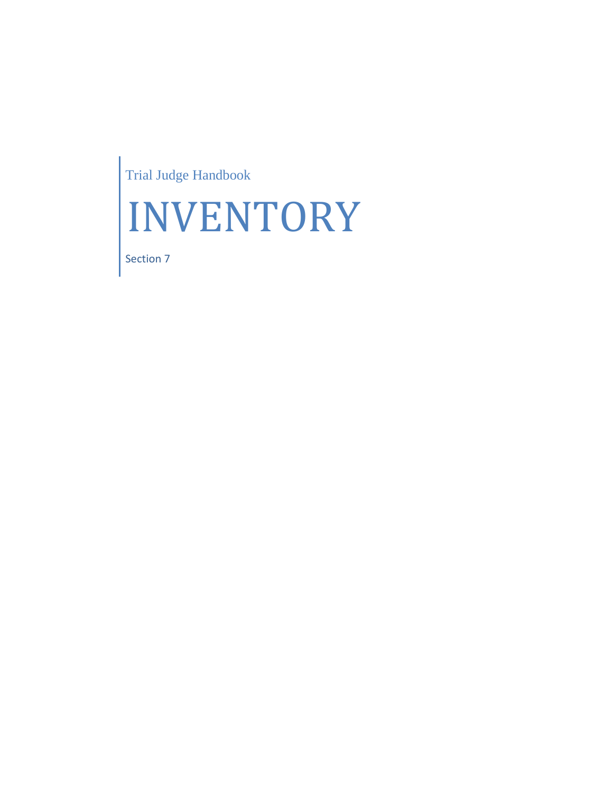Trial Judge Handbook



Section 7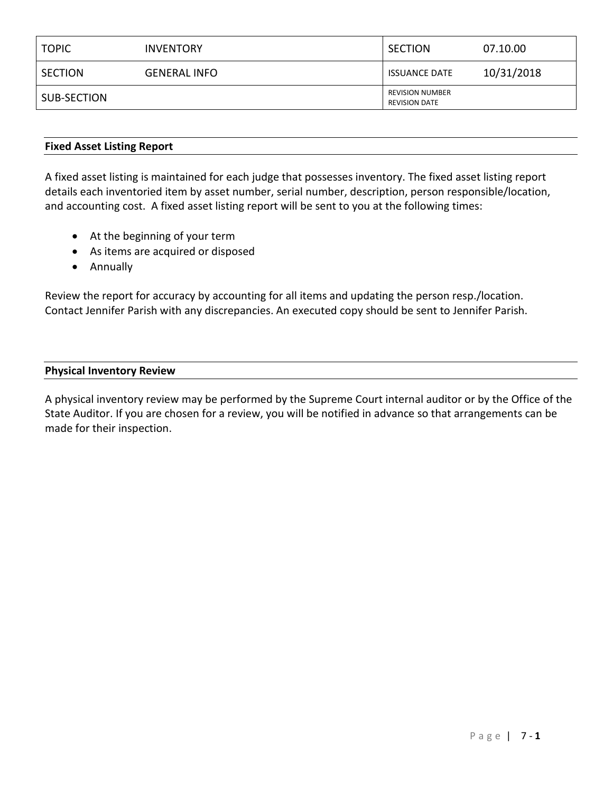| <b>TOPIC</b> | <b>INVENTORY</b>    | <b>SECTION</b>                                 | 07.10.00   |
|--------------|---------------------|------------------------------------------------|------------|
| SECTION      | <b>GENERAL INFO</b> | <b>ISSUANCE DATE</b>                           | 10/31/2018 |
| SUB-SECTION  |                     | <b>REVISION NUMBER</b><br><b>REVISION DATE</b> |            |

#### **Fixed Asset Listing Report**

A fixed asset listing is maintained for each judge that possesses inventory. The fixed asset listing report details each inventoried item by asset number, serial number, description, person responsible/location, and accounting cost. A fixed asset listing report will be sent to you at the following times:

- At the beginning of your term
- As items are acquired or disposed
- Annually

Review the report for accuracy by accounting for all items and updating the person resp./location. Contact Jennifer Parish with any discrepancies. An executed copy should be sent to Jennifer Parish.

#### **Physical Inventory Review**

A physical inventory review may be performed by the Supreme Court internal auditor or by the Office of the State Auditor. If you are chosen for a review, you will be notified in advance so that arrangements can be made for their inspection.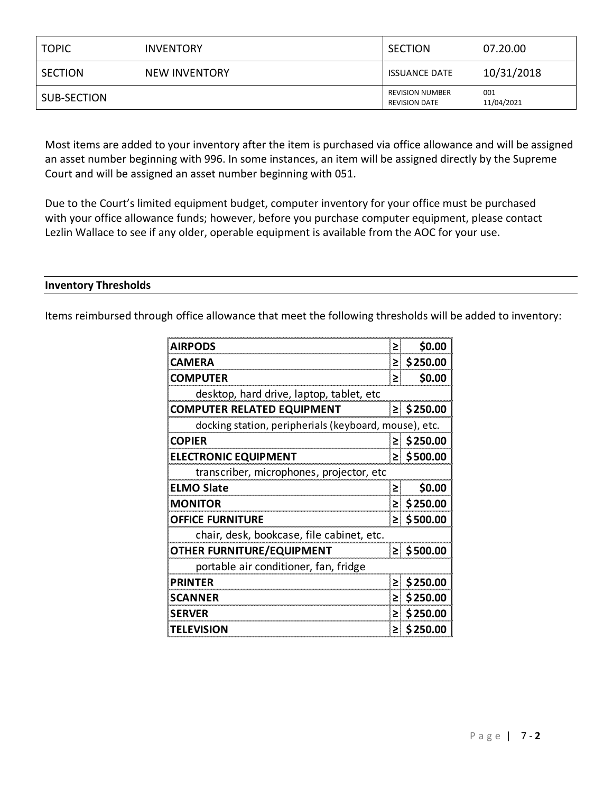| <b>TOPIC</b>   | <b>INVENTORY</b> | <b>SECTION</b>                                 | 07.20.00          |
|----------------|------------------|------------------------------------------------|-------------------|
| <b>SECTION</b> | NEW INVENTORY    | <b>ISSUANCE DATE</b>                           | 10/31/2018        |
| SUB-SECTION    |                  | <b>REVISION NUMBER</b><br><b>REVISION DATE</b> | 001<br>11/04/2021 |

Most items are added to your inventory after the item is purchased via office allowance and will be assigned an asset number beginning with 996. In some instances, an item will be assigned directly by the Supreme Court and will be assigned an asset number beginning with 051.

Due to the Court's limited equipment budget, computer inventory for your office must be purchased with your office allowance funds; however, before you purchase computer equipment, please contact Lezlin Wallace to see if any older, operable equipment is available from the AOC for your use.

#### **Inventory Thresholds**

Items reimbursed through office allowance that meet the following thresholds will be added to inventory:

| <b>AIRPODS</b>                                        | ≥  | \$0.00         |
|-------------------------------------------------------|----|----------------|
| CAMERA                                                |    | \$250.00       |
| <b>COMPUTER</b>                                       | ≥  | \$0.00         |
| desktop, hard drive, laptop, tablet, etc              |    |                |
| <b>COMPUTER RELATED EQUIPMENT</b>                     |    | $\ge$ \$250.00 |
| docking station, peripherials (keyboard, mouse), etc. |    |                |
| <b>COPIER</b>                                         | ≥l | \$250.00       |
| <b>ELECTRONIC EQUIPMENT</b>                           |    | $\ge$ \$500.00 |
| transcriber, microphones, projector, etc              |    |                |
| <b>ELMO Slate</b>                                     | ≥∣ | \$0.00         |
| <b>MONITOR</b>                                        | ≥I | \$250.00       |
| <b>OFFICE FURNITURE</b>                               |    | $\ge$ \$500.00 |
| chair, desk, bookcase, file cabinet, etc.             |    |                |
| <b>OTHER FURNITURE/EQUIPMENT</b>                      |    | ≥ \$500.00     |
| portable air conditioner, fan, fridge                 |    |                |
| <b>PRINTER</b>                                        |    | \$250.00<br>≥I |
| SCANNER                                               |    | \$250.00<br>≥l |
| <b>SERVER</b>                                         | ≥  | \$250.00       |
| <b>TELEVISION</b>                                     | ≥I | \$250.00       |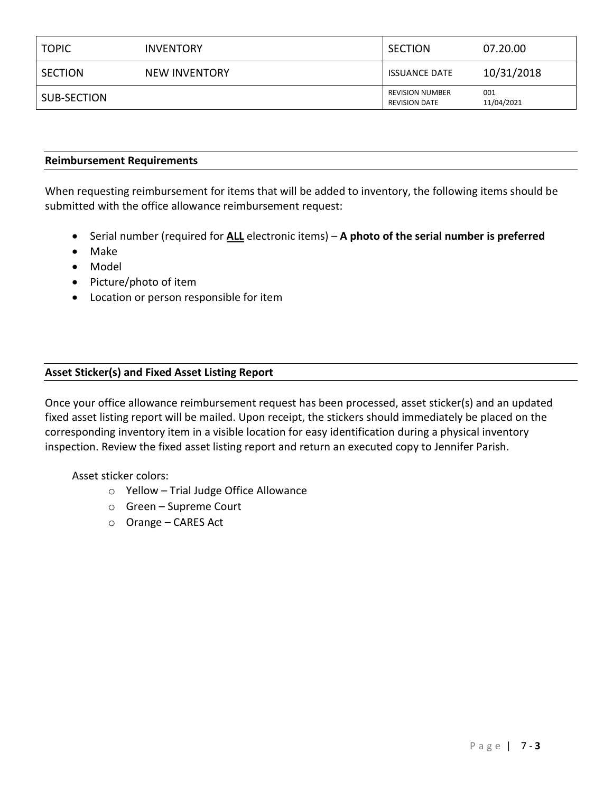| <b>TOPIC</b> | <b>INVENTORY</b> | <b>SECTION</b>                                 | 07.20.00          |
|--------------|------------------|------------------------------------------------|-------------------|
| SECTION      | NEW INVENTORY    | <b>ISSUANCE DATE</b>                           | 10/31/2018        |
| SUB-SECTION  |                  | <b>REVISION NUMBER</b><br><b>REVISION DATE</b> | 001<br>11/04/2021 |

#### **Reimbursement Requirements**

When requesting reimbursement for items that will be added to inventory, the following items should be submitted with the office allowance reimbursement request:

- Serial number (required for **ALL** electronic items) **A photo of the serial number is preferred**
- Make
- Model
- Picture/photo of item
- Location or person responsible for item

### **Asset Sticker(s) and Fixed Asset Listing Report**

Once your office allowance reimbursement request has been processed, asset sticker(s) and an updated fixed asset listing report will be mailed. Upon receipt, the stickers should immediately be placed on the corresponding inventory item in a visible location for easy identification during a physical inventory inspection. Review the fixed asset listing report and return an executed copy to Jennifer Parish.

### Asset sticker colors:

- o Yellow Trial Judge Office Allowance
- o Green Supreme Court
- o Orange CARES Act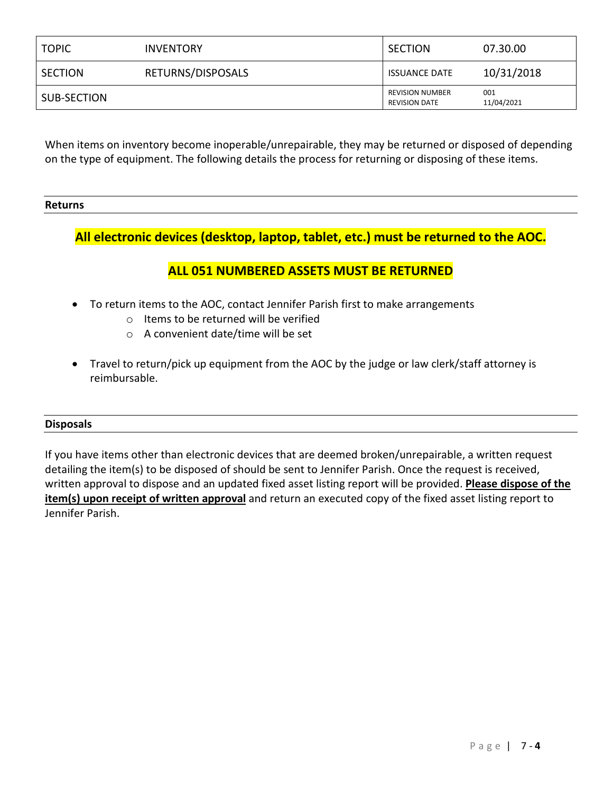| <b>TOPIC</b>   | <b>INVENTORY</b>  | SECTION                                        | 07.30.00          |
|----------------|-------------------|------------------------------------------------|-------------------|
| <b>SECTION</b> | RETURNS/DISPOSALS | <b>ISSUANCE DATE</b>                           | 10/31/2018        |
| SUB-SECTION    |                   | <b>REVISION NUMBER</b><br><b>REVISION DATE</b> | 001<br>11/04/2021 |

When items on inventory become inoperable/unrepairable, they may be returned or disposed of depending on the type of equipment. The following details the process for returning or disposing of these items.

# **Returns**

## **All electronic devices (desktop, laptop, tablet, etc.) must be returned to the AOC.**

## **ALL 051 NUMBERED ASSETS MUST BE RETURNED**

- To return items to the AOC, contact Jennifer Parish first to make arrangements
	- o Items to be returned will be verified
	- o A convenient date/time will be set
- Travel to return/pick up equipment from the AOC by the judge or law clerk/staff attorney is reimbursable.

### **Disposals**

If you have items other than electronic devices that are deemed broken/unrepairable, a written request detailing the item(s) to be disposed of should be sent to Jennifer Parish. Once the request is received, written approval to dispose and an updated fixed asset listing report will be provided. **Please dispose of the item(s) upon receipt of written approval** and return an executed copy of the fixed asset listing report to Jennifer Parish.